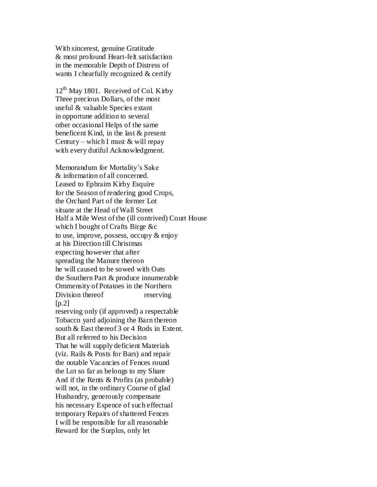With sincerest, genuine Gratitude & most profound Heart-felt satisfaction in the memorable Depth of Distress of wants I chearfully recognized & certify

 $12<sup>th</sup>$  May 1801. Received of Col. Kirby Three precious Dollars, of the most useful & valuable Species extant in opportune addition to several other occasional Helps of the same beneficent Kind, in the last & present Century – which I must  $&$  will repay with every dutiful Acknowledgment.

Memorandum for Mortality's Sake & information of all concerned. Leased to Ephraim Kirby Esquire for the Season of rendering good Crops, the Orchard Part of the former Lot situate at the Head of Wall Street Half a Mile West of the (ill contrived) Court House which I bought of Crafts Birge &c to use, improve, possess, occupy & enjoy at his Direction till Christmas expecting however that after spreading the Manure thereon he will caused to be sowed with Oats the Southern Part & produce innumerable Ommensity of Potatoes in the Northern Division thereof reserving  $[p.2]$ reserving only (if approved) a respectable Tobacco yard adjoining the Barn thereon south & East thereof 3 or 4 Rods in Extent. But all referred to his Decision That he will supply deficient Materials (viz. Rails & Posts for Bars) and repair the notable Vacancies of Fences round the Lot so far as belongs to my Share And if the Rents & Profits (as probable) will not, in the ordinary Course of glad Husbandry, generously compensate his necessary Expence of such effectual temporary Repairs of shattered Fences I will be responsible for all reasonable Reward for the Surplus, only let